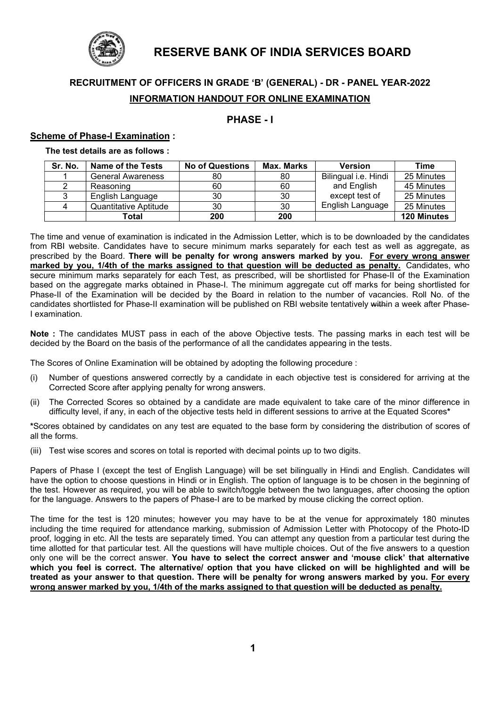

# RESERVE BANK OF INDIA SERVICES BOARD

# RECRUITMENT OF OFFICERS IN GRADE 'B' (GENERAL) - DR - PANEL YEAR-2022 INFORMATION HANDOUT FOR ONLINE EXAMINATION

# PHASE - I

#### Scheme of Phase-I Examination :

The test details are as follows :

| Sr. No. | <b>Name of the Tests</b> | <b>No of Questions</b> | <b>Max. Marks</b> | <b>Version</b>       | Time               |
|---------|--------------------------|------------------------|-------------------|----------------------|--------------------|
|         | <b>General Awareness</b> | 80                     | 80                | Bilingual i.e. Hindi | 25 Minutes         |
|         | Reasoning                | 60                     | 60                | and English          | 45 Minutes         |
|         | English Language         | 30                     | 30                | except test of       | 25 Minutes         |
|         | Quantitative Aptitude    | 30                     | 30                | English Language     | 25 Minutes         |
|         | Total                    | 200                    | 200               |                      | <b>120 Minutes</b> |

The time and venue of examination is indicated in the Admission Letter, which is to be downloaded by the candidates from RBI website. Candidates have to secure minimum marks separately for each test as well as aggregate, as prescribed by the Board. There will be penalty for wrong answers marked by you. For every wrong answer marked by you, 1/4th of the marks assigned to that question will be deducted as penalty. Candidates, who secure minimum marks separately for each Test, as prescribed, will be shortlisted for Phase-II of the Examination based on the aggregate marks obtained in Phase-I. The minimum aggregate cut off marks for being shortlisted for Phase-II of the Examination will be decided by the Board in relation to the number of vacancies. Roll No. of the candidates shortlisted for Phase-II examination will be published on RBI website tentatively within a week after Phase-I examination.

Note : The candidates MUST pass in each of the above Objective tests. The passing marks in each test will be decided by the Board on the basis of the performance of all the candidates appearing in the tests.

The Scores of Online Examination will be obtained by adopting the following procedure :

- (i) Number of questions answered correctly by a candidate in each objective test is considered for arriving at the Corrected Score after applying penalty for wrong answers.
- (ii) The Corrected Scores so obtained by a candidate are made equivalent to take care of the minor difference in difficulty level, if any, in each of the objective tests held in different sessions to arrive at the Equated Scores\*

\*Scores obtained by candidates on any test are equated to the base form by considering the distribution of scores of all the forms.

(iii) Test wise scores and scores on total is reported with decimal points up to two digits.

Papers of Phase I (except the test of English Language) will be set bilingually in Hindi and English. Candidates will have the option to choose questions in Hindi or in English. The option of language is to be chosen in the beginning of the test. However as required, you will be able to switch/toggle between the two languages, after choosing the option for the language. Answers to the papers of Phase-I are to be marked by mouse clicking the correct option.

The time for the test is 120 minutes; however you may have to be at the venue for approximately 180 minutes including the time required for attendance marking, submission of Admission Letter with Photocopy of the Photo-ID proof, logging in etc. All the tests are separately timed. You can attempt any question from a particular test during the time allotted for that particular test. All the questions will have multiple choices. Out of the five answers to a question only one will be the correct answer. You have to select the correct answer and 'mouse click' that alternative which you feel is correct. The alternative/ option that you have clicked on will be highlighted and will be treated as your answer to that question. There will be penalty for wrong answers marked by you. For every wrong answer marked by you, 1/4th of the marks assigned to that question will be deducted as penalty.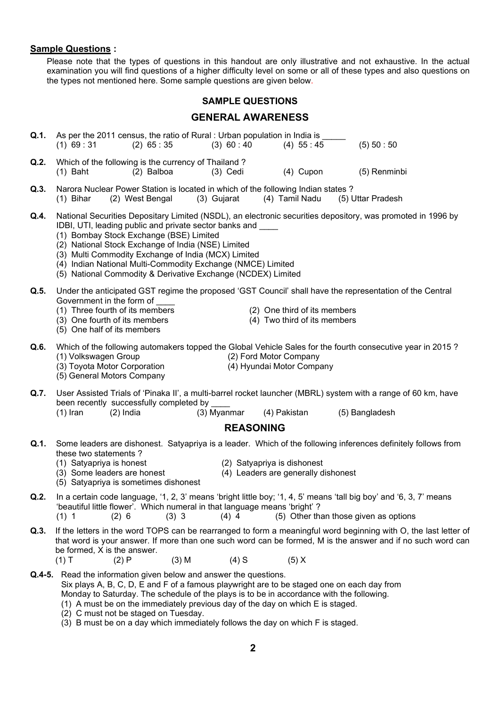#### Sample Questions :

 Please note that the types of questions in this handout are only illustrative and not exhaustive. In the actual examination you will find questions of a higher difficulty level on some or all of these types and also questions on the types not mentioned here. Some sample questions are given below.

#### SAMPLE QUESTIONS

## GENERAL AWARENESS

| Q.1. |               | As per the 2011 census, the ratio of Rural : Urban population in India is |             |             |              |
|------|---------------|---------------------------------------------------------------------------|-------------|-------------|--------------|
|      | $(1)$ 69 : 31 | $(2)$ 65 : 35                                                             | (3) 60 : 40 | $(4)$ 55:45 | (5) 50 : 50  |
| Q.2. |               | Which of the following is the currency of Thailand?                       |             |             |              |
|      | $(1)$ Baht    | (2) Balboa                                                                | $(3)$ Cedi  | $(4)$ Cupon | (5) Renminbi |

- Q.3. Narora Nuclear Power Station is located in which of the following Indian states ? (1) Bihar (2) West Bengal (3) Gujarat (4) Tamil Nadu (5) Uttar Pradesh
- Q.4. National Securities Depositary Limited (NSDL), an electronic securities depository, was promoted in 1996 by IDBI, UTI, leading public and private sector banks and
	- (1) Bombay Stock Exchange (BSE) Limited
	- (2) National Stock Exchange of India (NSE) Limited
	- (3) Multi Commodity Exchange of India (MCX) Limited
	- (4) Indian National Multi-Commodity Exchange (NMCE) Limited
	- (5) National Commodity & Derivative Exchange (NCDEX) Limited
- Q.5. Under the anticipated GST regime the proposed 'GST Council' shall have the representation of the Central Government in the form of
	- (1) Three fourth of its members (2) One third of its members (3) One fourth of its members (3) One fourth of its members
	-
	- (5) One half of its members
- 
- $(4)$  Two third of its members
- Q.6. Which of the following automakers topped the Global Vehicle Sales for the fourth consecutive year in 2015? (1) Volkswagen Group (2) Ford Motor Company
	- (3) Toyota Motor Corporation (4) Hyundai Motor Company
		- (5) General Motors Company
- 
- Q.7. User Assisted Trials of 'Pinaka II', a multi-barrel rocket launcher (MBRL) system with a range of 60 km, have been recently successfully completed by
	- (1) Iran (2) India (3) Myanmar (4) Pakistan (5) Bangladesh
		-

## REASONING

- Q.1. Some leaders are dishonest. Satyapriya is a leader. Which of the following inferences definitely follows from these two statements ?
	-
	- (1) Satyapriya is honest (2) Satyapriya is dishonest<br>(3) Some leaders are honest (4) Leaders are generally d
		- $(4)$  Leaders are generally dishonest
	- (5) Satyapriya is sometimes dishonest
- Q.2. In a certain code language, '1, 2, 3' means 'bright little boy; '1, 4, 5' means 'tall big boy' and '6, 3, 7' means 'beautiful little flower'. Which numeral in that language means 'bright' ?  $(1)$  1  $(2)$  6  $(3)$  3  $(4)$  4  $(5)$  Other than those given as options
- Q.3. If the letters in the word TOPS can be rearranged to form a meaningful word beginning with O, the last letter of that word is your answer. If more than one such word can be formed, M is the answer and if no such word can be formed, X is the answer.
- (1) T (2) P (3) M (4) S (5) X
- Q.4-5. Read the information given below and answer the questions. Six plays A, B, C, D, E and F of a famous playwright are to be staged one on each day from Monday to Saturday. The schedule of the plays is to be in accordance with the following.
	- (1) A must be on the immediately previous day of the day on which E is staged.
	- (2) C must not be staged on Tuesday.
	- (3) B must be on a day which immediately follows the day on which F is staged.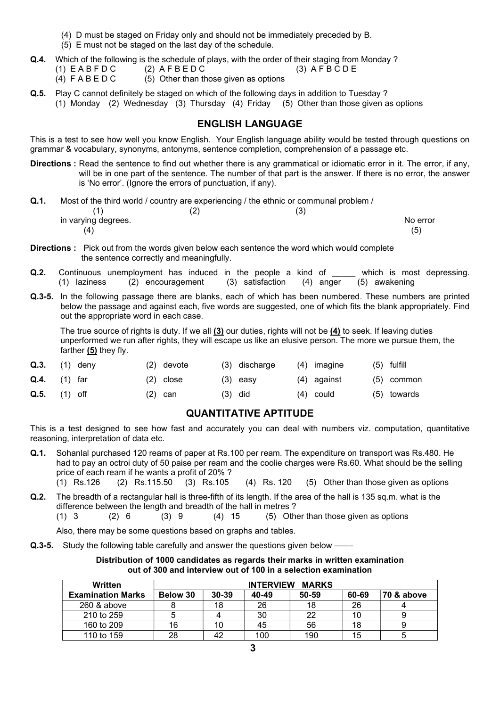- (4) D must be staged on Friday only and should not be immediately preceded by B.
- (5) E must not be staged on the last day of the schedule.
- **Q.4.** Which of the following is the schedule of plays, with the order of their staging from Monday ?<br>(1)  $E AB F D C$  (2)  $A F B E D C$  (3)  $A F B C D E$  $(1)$  E A B F D C  $(2)$  A F B E D C
	- $(4)$  F A B E D C  $(5)$  Other than those given as options
- Q.5. Play C cannot definitely be staged on which of the following days in addition to Tuesday ?
	- (1) Monday (2) Wednesday (3) Thursday (4) Friday (5) Other than those given as options

## ENGLISH LANGUAGE

This is a test to see how well you know English. Your English language ability would be tested through questions on grammar & vocabulary, synonyms, antonyms, sentence completion, comprehension of a passage etc.

- Directions : Read the sentence to find out whether there is any grammatical or idiomatic error in it. The error, if any, will be in one part of the sentence. The number of that part is the answer. If there is no error, the answer is 'No error'. (Ignore the errors of punctuation, if any).
- Q.1. Most of the third world / country are experiencing / the ethnic or communal problem /

 $(1)$   $(2)$   $(3)$  $(4)$  (5)

in varying degrees. No error

- Directions : Pick out from the words given below each sentence the word which would complete the sentence correctly and meaningfully.
- **Q.2.** Continuous unemployment has induced in the people a kind of which is most depressing. (1) laziness (2) encouragement (3) satisfaction (4) anger (5) awakening
- Q.3-5. In the following passage there are blanks, each of which has been numbered. These numbers are printed below the passage and against each, five words are suggested, one of which fits the blank appropriately. Find out the appropriate word in each case.

The true source of rights is duty. If we all (3) our duties, rights will not be (4) to seek. If leaving duties unperformed we run after rights, they will escape us like an elusive person. The more we pursue them, the farther  $(5)$  they fly.

| $Q.3.$ (1) deny |  | $(2)$ devote |           | (3) discharge | (4) imagine | $(5)$ fulfill |
|-----------------|--|--------------|-----------|---------------|-------------|---------------|
| $Q.4.$ (1) far  |  | $(2)$ close  |           | $(3)$ easy    | (4) against | (5) common    |
| $Q.5.$ (1) off  |  | $(2)$ can    | $(3)$ did |               | (4) could   | (5) towards   |

# QUANTITATIVE APTITUDE

This is a test designed to see how fast and accurately you can deal with numbers viz. computation, quantitative reasoning, interpretation of data etc.

- Q.1. Sohanlal purchased 120 reams of paper at Rs.100 per ream. The expenditure on transport was Rs.480. He had to pay an octroi duty of 50 paise per ream and the coolie charges were Rs.60. What should be the selling price of each ream if he wants a profit of 20% ? (1) Rs.126 (2) Rs.115.50 (3) Rs.105 (4) Rs. 120 (5) Other than those given as options
- Q.2. The breadth of a rectangular hall is three-fifth of its length. If the area of the hall is 135 sq.m. what is the difference between the length and breadth of the hall in metres ?  $(1)$  3  $(2)$  6  $(3)$  9  $(4)$  15  $(5)$  Other than those given as options

Also, there may be some questions based on graphs and tables.

**Q.3-5.** Study the following table carefully and answer the questions given below  $-$ 

Distribution of 1000 candidates as regards their marks in written examination out of 300 and interview out of 100 in a selection examination

| Written                  |          |       | <b>INTERVIEW</b> | <b>MARKS</b> |       |            |
|--------------------------|----------|-------|------------------|--------------|-------|------------|
| <b>Examination Marks</b> | Below 30 | 30-39 | 40-49            | 50-59        | 60-69 | 70 & above |
| 260 & above              |          | 18    | 26               | 18           | 26    |            |
| 210 to 259               |          |       | 30               | 22           | 10    |            |
| 160 to 209               | 16       | 10    | 45               | 56           | 18    |            |
| 110 to 159               | 28       |       | 100              | 190          | 15    |            |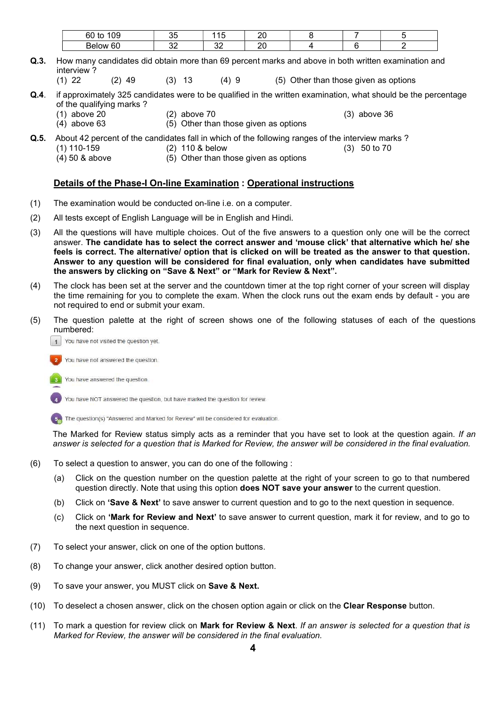| $\sim$ $\sim$<br>60<br>w<br>ັບ | v.        | --<br>v   | nr<br>∠ |  |  |
|--------------------------------|-----------|-----------|---------|--|--|
| Bel<br>$\sim$<br>σu<br>nw      | . .<br>ັ້ | n r<br>ັ້ | n,<br>∼ |  |  |

- Q.3. How many candidates did obtain more than 69 percent marks and above in both written examination and interview?<br>(1) 22
	- $(2)$  49  $(3)$  13  $(4)$  9  $(5)$  Other than those given as options
- Q.4. if approximately 325 candidates were to be qualified in the written examination, what should be the percentage of the qualifying marks?<br>(1) above 20 (1) above 20 (2) above 70 (3) above 36
	-
	- $(4)$  above 63 (5) Other than those given as options
- Q.5. About 42 percent of the candidates fall in which of the following ranges of the interview marks ?
	- (1) 110-159 (2) 110 & below (3) 50 to 70
	- (4) 50 & above (5) Other than those given as options

#### Details of the Phase-I On-line Examination : Operational instructions

- (1) The examination would be conducted on-line i.e. on a computer.
- (2) All tests except of English Language will be in English and Hindi.
- (3) All the questions will have multiple choices. Out of the five answers to a question only one will be the correct answer. The candidate has to select the correct answer and 'mouse click' that alternative which he/ she feels is correct. The alternative/ option that is clicked on will be treated as the answer to that question. Answer to any question will be considered for final evaluation, only when candidates have submitted the answers by clicking on "Save & Next" or "Mark for Review & Next".
- (4) The clock has been set at the server and the countdown timer at the top right corner of your screen will display the time remaining for you to complete the exam. When the clock runs out the exam ends by default - you are not required to end or submit your exam.
- (5) The question palette at the right of screen shows one of the following statuses of each of the questions numbered:
	- 1 You have not visited the question yet.
	- You have not answered the question.
	- You have answered the question.

You have NOT answered the question, but have marked the question for review.

5 The question(s) "Answered and Marked for Review" will be considered for evaluation.

The Marked for Review status simply acts as a reminder that you have set to look at the question again. If an answer is selected for a question that is Marked for Review, the answer will be considered in the final evaluation.

- (6) To select a question to answer, you can do one of the following :
	- (a) Click on the question number on the question palette at the right of your screen to go to that numbered question directly. Note that using this option **does NOT save your answer** to the current question.
	- (b) Click on 'Save & Next' to save answer to current question and to go to the next question in sequence.
	- (c) Click on 'Mark for Review and Next' to save answer to current question, mark it for review, and to go to the next question in sequence.
- (7) To select your answer, click on one of the option buttons.
- (8) To change your answer, click another desired option button.
- (9) To save your answer, you MUST click on Save & Next.
- (10) To deselect a chosen answer, click on the chosen option again or click on the Clear Response button.
- (11) To mark a question for review click on Mark for Review & Next. If an answer is selected for a question that is Marked for Review, the answer will be considered in the final evaluation.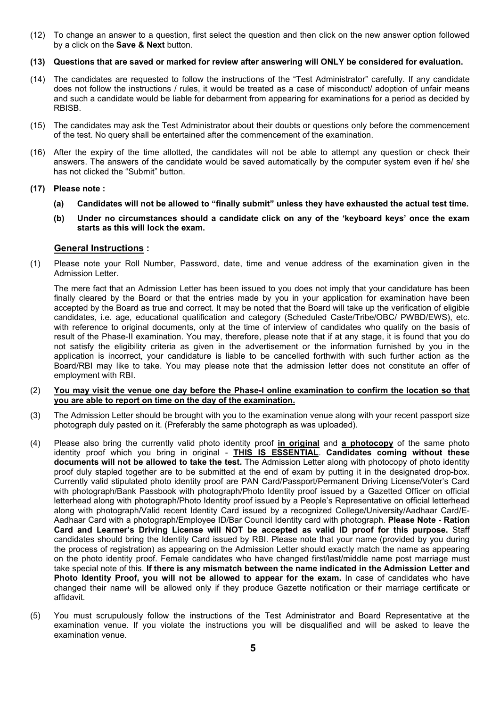- (12) To change an answer to a question, first select the question and then click on the new answer option followed by a click on the **Save & Next** button.
- (13) Questions that are saved or marked for review after answering will ONLY be considered for evaluation.
- (14) The candidates are requested to follow the instructions of the "Test Administrator" carefully. If any candidate does not follow the instructions / rules, it would be treated as a case of misconduct/ adoption of unfair means and such a candidate would be liable for debarment from appearing for examinations for a period as decided by RBISB.
- (15) The candidates may ask the Test Administrator about their doubts or questions only before the commencement of the test. No query shall be entertained after the commencement of the examination.
- (16) After the expiry of the time allotted, the candidates will not be able to attempt any question or check their answers. The answers of the candidate would be saved automatically by the computer system even if he/ she has not clicked the "Submit" button.

#### (17) Please note :

- (a) Candidates will not be allowed to "finally submit" unless they have exhausted the actual test time.
- (b) Under no circumstances should a candidate click on any of the 'keyboard keys' once the exam starts as this will lock the exam.

#### General Instructions :

(1) Please note your Roll Number, Password, date, time and venue address of the examination given in the Admission Letter.

The mere fact that an Admission Letter has been issued to you does not imply that your candidature has been finally cleared by the Board or that the entries made by you in your application for examination have been accepted by the Board as true and correct. It may be noted that the Board will take up the verification of eligible candidates, i.e. age, educational qualification and category (Scheduled Caste/Tribe/OBC/ PWBD/EWS), etc. with reference to original documents, only at the time of interview of candidates who qualify on the basis of result of the Phase-II examination. You may, therefore, please note that if at any stage, it is found that you do not satisfy the eligibility criteria as given in the advertisement or the information furnished by you in the application is incorrect, your candidature is liable to be cancelled forthwith with such further action as the Board/RBI may like to take. You may please note that the admission letter does not constitute an offer of employment with RBI.

- (2) You may visit the venue one day before the Phase-I online examination to confirm the location so that you are able to report on time on the day of the examination.
- (3) The Admission Letter should be brought with you to the examination venue along with your recent passport size photograph duly pasted on it. (Preferably the same photograph as was uploaded).
- (4) Please also bring the currently valid photo identity proof in original and a photocopy of the same photo identity proof which you bring in original - <u>THIS IS ESSENTIAL</u>. Can**didates coming without these** documents will not be allowed to take the test. The Admission Letter along with photocopy of photo identity proof duly stapled together are to be submitted at the end of exam by putting it in the designated drop-box. Currently valid stipulated photo identity proof are PAN Card/Passport/Permanent Driving License/Voter's Card with photograph/Bank Passbook with photograph/Photo Identity proof issued by a Gazetted Officer on official letterhead along with photograph/Photo Identity proof issued by a People's Representative on official letterhead along with photograph/Valid recent Identity Card issued by a recognized College/University/Aadhaar Card/E-Aadhaar Card with a photograph/Employee ID/Bar Council Identity card with photograph. Please Note - Ration Card and Learner's Driving License will NOT be accepted as valid ID proof for this purpose. Staff candidates should bring the Identity Card issued by RBI. Please note that your name (provided by you during the process of registration) as appearing on the Admission Letter should exactly match the name as appearing on the photo identity proof. Female candidates who have changed first/last/middle name post marriage must take special note of this. If there is any mismatch between the name indicated in the Admission Letter and Photo Identity Proof, you will not be allowed to appear for the exam. In case of candidates who have changed their name will be allowed only if they produce Gazette notification or their marriage certificate or affidavit.
- (5) You must scrupulously follow the instructions of the Test Administrator and Board Representative at the examination venue. If you violate the instructions you will be disqualified and will be asked to leave the examination venue.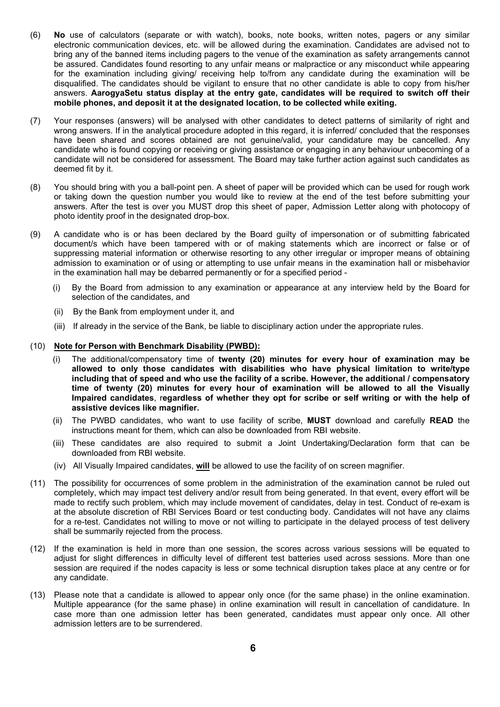- (6) No use of calculators (separate or with watch), books, note books, written notes, pagers or any similar electronic communication devices, etc. will be allowed during the examination. Candidates are advised not to bring any of the banned items including pagers to the venue of the examination as safety arrangements cannot be assured. Candidates found resorting to any unfair means or malpractice or any misconduct while appearing for the examination including giving/ receiving help to/from any candidate during the examination will be disqualified. The candidates should be vigilant to ensure that no other candidate is able to copy from his/her answers. AarogyaSetu status display at the entry gate, candidates will be required to switch off their mobile phones, and deposit it at the designated location, to be collected while exiting.
- (7) Your responses (answers) will be analysed with other candidates to detect patterns of similarity of right and wrong answers. If in the analytical procedure adopted in this regard, it is inferred/ concluded that the responses have been shared and scores obtained are not genuine/valid, your candidature may be cancelled. Any candidate who is found copying or receiving or giving assistance or engaging in any behaviour unbecoming of a candidate will not be considered for assessment. The Board may take further action against such candidates as deemed fit by it.
- (8) You should bring with you a ball-point pen. A sheet of paper will be provided which can be used for rough work or taking down the question number you would like to review at the end of the test before submitting your answers. After the test is over you MUST drop this sheet of paper, Admission Letter along with photocopy of photo identity proof in the designated drop-box.
- (9) A candidate who is or has been declared by the Board guilty of impersonation or of submitting fabricated document/s which have been tampered with or of making statements which are incorrect or false or of suppressing material information or otherwise resorting to any other irregular or improper means of obtaining admission to examination or of using or attempting to use unfair means in the examination hall or misbehavior in the examination hall may be debarred permanently or for a specified period -
	- (i) By the Board from admission to any examination or appearance at any interview held by the Board for selection of the candidates, and
	- (ii) By the Bank from employment under it, and
	- (iii) If already in the service of the Bank, be liable to disciplinary action under the appropriate rules.

#### (10) Note for Person with Benchmark Disability (PWBD):

- (i) The additional/compensatory time of twenty (20) minutes for every hour of examination may be allowed to only those candidates with disabilities who have physical limitation to write/type including that of speed and who use the facility of a scribe. However, the additional / compensatory time of twenty (20) minutes for every hour of examination will be allowed to all the Visually Impaired candidates, regardless of whether they opt for scribe or self writing or with the help of assistive devices like magnifier.
- (ii) The PWBD candidates, who want to use facility of scribe, MUST download and carefully READ the instructions meant for them, which can also be downloaded from RBI website.
- (iii) These candidates are also required to submit a Joint Undertaking/Declaration form that can be downloaded from RBI website.
- (iv) All Visually Impaired candidates, will be allowed to use the facility of on screen magnifier.
- (11) The possibility for occurrences of some problem in the administration of the examination cannot be ruled out completely, which may impact test delivery and/or result from being generated. In that event, every effort will be made to rectify such problem, which may include movement of candidates, delay in test. Conduct of re-exam is at the absolute discretion of RBI Services Board or test conducting body. Candidates will not have any claims for a re-test. Candidates not willing to move or not willing to participate in the delayed process of test delivery shall be summarily rejected from the process.
- (12) If the examination is held in more than one session, the scores across various sessions will be equated to adjust for slight differences in difficulty level of different test batteries used across sessions. More than one session are required if the nodes capacity is less or some technical disruption takes place at any centre or for any candidate.
- (13) Please note that a candidate is allowed to appear only once (for the same phase) in the online examination. Multiple appearance (for the same phase) in online examination will result in cancellation of candidature. In case more than one admission letter has been generated, candidates must appear only once. All other admission letters are to be surrendered.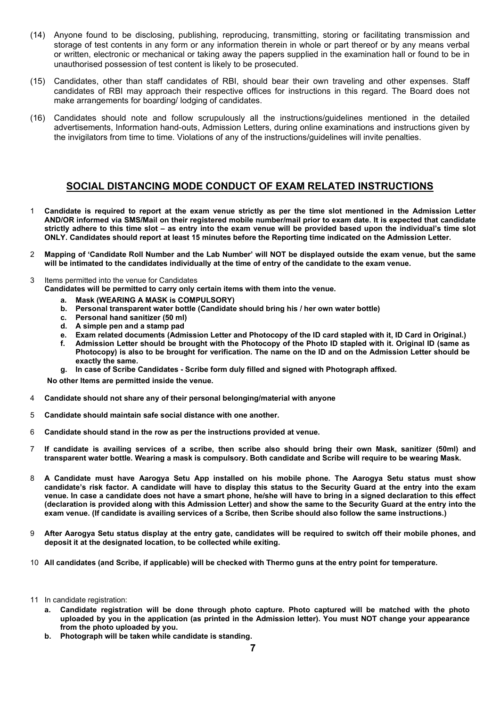- (14) Anyone found to be disclosing, publishing, reproducing, transmitting, storing or facilitating transmission and storage of test contents in any form or any information therein in whole or part thereof or by any means verbal or written, electronic or mechanical or taking away the papers supplied in the examination hall or found to be in unauthorised possession of test content is likely to be prosecuted.
- (15) Candidates, other than staff candidates of RBI, should bear their own traveling and other expenses. Staff candidates of RBI may approach their respective offices for instructions in this regard. The Board does not make arrangements for boarding/ lodging of candidates.
- (16) Candidates should note and follow scrupulously all the instructions/guidelines mentioned in the detailed advertisements, Information hand-outs, Admission Letters, during online examinations and instructions given by the invigilators from time to time. Violations of any of the instructions/guidelines will invite penalties.

# SOCIAL DISTANCING MODE CONDUCT OF EXAM RELATED INSTRUCTIONS

- 1 Candidate is required to report at the exam venue strictly as per the time slot mentioned in the Admission Letter AND/OR informed via SMS/Mail on their registered mobile number/mail prior to exam date. It is expected that candidate strictly adhere to this time slot – as entry into the exam venue will be provided based upon the individual's time slot ONLY. Candidates should report at least 15 minutes before the Reporting time indicated on the Admission Letter.
- 2 Mapping of 'Candidate Roll Number and the Lab Number' will NOT be displayed outside the exam venue, but the same will be intimated to the candidates individually at the time of entry of the candidate to the exam venue.
- 3 Items permitted into the venue for Candidates
	- Candidates will be permitted to carry only certain items with them into the venue.
		- a. Mask (WEARING A MASK is COMPULSORY)
		- b. Personal transparent water bottle (Candidate should bring his / her own water bottle)
		- c. Personal hand sanitizer (50 ml)
		- d. A simple pen and a stamp pad
		- e. Exam related documents (Admission Letter and Photocopy of the ID card stapled with it, ID Card in Original.)
		- f. Admission Letter should be brought with the Photocopy of the Photo ID stapled with it. Original ID (same as Photocopy) is also to be brought for verification. The name on the ID and on the Admission Letter should be exactly the same.
		- g. In case of Scribe Candidates Scribe form duly filled and signed with Photograph affixed.

No other Items are permitted inside the venue.

- 4 Candidate should not share any of their personal belonging/material with anyone
- 5 Candidate should maintain safe social distance with one another.
- 6 Candidate should stand in the row as per the instructions provided at venue.
- 7 If candidate is availing services of a scribe, then scribe also should bring their own Mask, sanitizer (50ml) and transparent water bottle. Wearing a mask is compulsory. Both candidate and Scribe will require to be wearing Mask.
- 8 A Candidate must have Aarogya Setu App installed on his mobile phone. The Aarogya Setu status must show candidate's risk factor. A candidate will have to display this status to the Security Guard at the entry into the exam venue. In case a candidate does not have a smart phone, he/she will have to bring in a signed declaration to this effect (declaration is provided along with this Admission Letter) and show the same to the Security Guard at the entry into the exam venue. (If candidate is availing services of a Scribe, then Scribe should also follow the same instructions.)
- 9 After Aarogya Setu status display at the entry gate, candidates will be required to switch off their mobile phones, and deposit it at the designated location, to be collected while exiting.
- 10 All candidates (and Scribe, if applicable) will be checked with Thermo guns at the entry point for temperature.
- 11 In candidate registration:
	- a. Candidate registration will be done through photo capture. Photo captured will be matched with the photo uploaded by you in the application (as printed in the Admission letter). You must NOT change your appearance from the photo uploaded by you.
	- b. Photograph will be taken while candidate is standing.